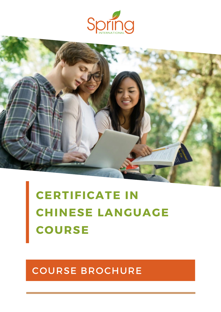

# **CERTIFICATE IN CHINESE LANGUAGE COURSE**

COURSE BROCHURE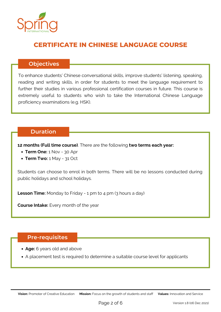

## **CERTIFICATE IN CHINESE LANGUAGE COURSE**

#### **Objectives**

To enhance students' Chinese conversational skills, improve students' listening, speaking, reading and writing skills, in order for students to meet the language requirement to further their studies in various professional certification courses in future. This course is extremely useful to students who wish to take the International Chinese Language proficiency examinations (e.g. HSK).

**Vision:** Promoter of Creative Education **Mission:** Focus on the growth of students and staff **Values:** Innovation and Service

#### **Duration**

- **Term One:** 1 Nov 30 Apr
- **Term Two:** 1 May 31 Oct

**12 months (Full time course)**. There are the following **two terms each year:**

Students can choose to enrol in both terms. There will be no lessons conducted during public holidays and school holidays.

**Lesson Time:** Monday to Friday - 1 pm to 4 pm (3 hours a day)

**Course Intake:** Every month of the year

#### **Pre-requisites**

- **Age:** 6 years old and above
- A placement test is required to determine a suitable course level for applicants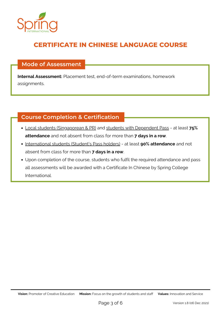#### **Mode of Assessment**

**Internal Assessment:** Placement test, end-of-term examinations, homework assignments.

#### **Course Completion & Certification**



# **CERTIFICATE IN CHINESE LANGUAGE COURSE**

- Local students (Singaporean & PR) and students with Dependent Pass at least **75% attendance** and not absent from class for more than **7 days in a row**.
- International students (Student's Pass holders) at least **90% attendance** and not absent from class for more than **7 days in a row**.
- Upon completion of the course, students who fulfil the required attendance and pass
- 

all assessments will be awarded with a Certificate In Chinese by Spring College International.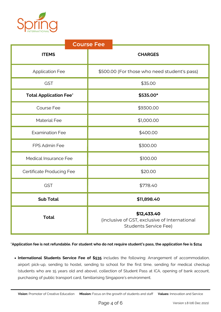

|                                  | <b>Course Fee</b>                            |                                                                                              |
|----------------------------------|----------------------------------------------|----------------------------------------------------------------------------------------------|
| <b>ITEMS</b>                     |                                              | <b>CHARGES</b>                                                                               |
| <b>Application Fee</b>           | \$500.00 (For those who need student's pass) |                                                                                              |
| <b>GST</b>                       | \$35.00                                      |                                                                                              |
| <b>Total Application Fee*</b>    | $$535.00*$                                   |                                                                                              |
| <b>Course Fee</b>                | \$9300.00                                    |                                                                                              |
| <b>Material Fee</b>              | \$1,000.00                                   |                                                                                              |
| <b>Examination Fee</b>           | \$400.00                                     |                                                                                              |
| <b>FPS Admin Fee</b>             |                                              | \$300.00                                                                                     |
| <b>Medical Insurance Fee</b>     |                                              | \$100.00                                                                                     |
| <b>Certificate Producing Fee</b> |                                              | \$20.00                                                                                      |
| <b>GST</b>                       |                                              | \$778.40                                                                                     |
| <b>Sub Total</b>                 |                                              | \$11,898.40                                                                                  |
| <b>Total</b>                     |                                              | \$12,433.40<br>(inclusive of GST, exclusive of International<br><b>Students Service Fee)</b> |

\*Application fee is not refundable. For student who do not require student's pass, the application fee is \$214

**International Students Service Fee of \$535** includes the following: Arrangement of accommodation, airport pick-up, sending to hostel, sending to school for the first time, sending for medical checkup (students who are 15 years old and above), collection of Student Pass at ICA, opening of bank account, purchasing of public transport card, familiarising Singapore's environment.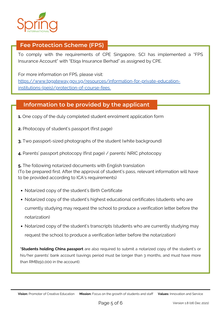

### **Fee Protection Scheme (FPS)**

### **Information to be provided by the applicant**

- **1.** One copy of the duly completed student enrolment application form
- **2.** Photocopy of student's passport (first page)
- **3.** Two passport-sized photographs of the student (white background)
- **4.** Parents' passport photocopy (first page) / parents' NRIC photocopy
- **5.** The following notarized documents with English translation

(To be prepared first. After the approval of student's pass, relevant information will have to be provided according to ICA's requirements)

- Notarized copy of the student's Birth Certificate
- Notarized copy of the student's highest educational certificates (students who are currently studying may request the school to produce a verification letter before the notarization)
- Notarized copy of the student's transcripts (students who are currently studying may request the school to produce a verification letter before the notarization)

To comply with the requirements of CPE Singapore, SCI has implemented a "FPS Insurance Account" with "Etiqa Insurance Berhad" as assigned by CPE.

For more information on FPS, please visit:

[https://www.tpgateway.gov.sg/resources/information-for-private-education](https://www.tpgateway.gov.sg/resources/information-for-private-education-institutions-(peis)/protection-of-course-fees)institutions-(peis)/protection-of-course-fees

**\*Students holding China passport** are also required to submit a notarized copy of the student's or his/her parents' bank account (savings period must be longer than 3 months, and must have more than RMB150,000 in the account).